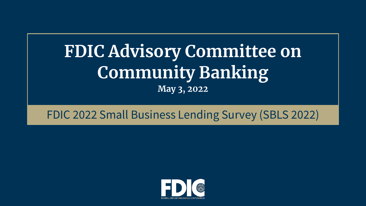# **FDIC Advisory Committee on Community Banking May 3, 2022**

# FDIC 2022 Small Business Lending Survey (SBLS 2022)

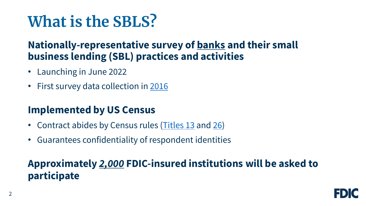# **What is the SBLS?**

### **Nationally-representative survey of banks and their small business lending (SBL) practices and activities**

- Launching in June 2022
- First survey data collection in [2016](https://www.fdic.gov/bank/historical/sbls/index.html)

## **Implemented by US Census**

- Contract abides by Census rules [\(Titles 13](https://www.census.gov/history/www/reference/privacy_confidentiality/title_13_us_code.html) and [26](https://www.census.gov/history/www/reference/privacy_confidentiality/title_26_us_code_1.html))
- Guarantees confidentiality of respondent identities

# **Approximately** *2,000* **FDIC-insured institutions will be asked to participate**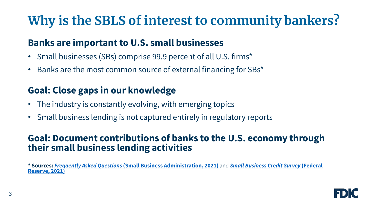# **Why is the SBLS of interest to community bankers?**

#### **Banks are important to U.S. small businesses**

- Small businesses (SBs) comprise 99.9 percent of all U.S. firms\*
- Banks are the most common source of external financing for SBs\*

#### **Goal: Close gaps in our knowledge**

- The industry is constantly evolving, with emerging topics
- Small business lending is not captured entirely in regulatory reports

#### **Goal: Document contributions of banks to the U.S. economy through their small business lending activities**

**\* Sources:** *Frequently Asked Questions* **[\(Small Business Administration, 2021\)](https://www.fedsmallbusiness.org/medialibrary/FedSmallBusiness/files/2021/2021-sbcs-employer-firms-report)** and *Small Business Credit Survey* **(Federal Reserve, 2021)**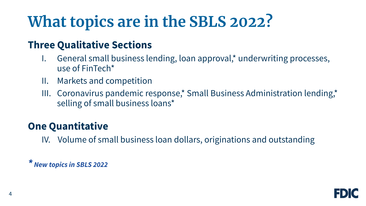# **What topics are in the SBLS 2022?**

### **Three Qualitative Sections**

- General small business lending, loan approval,\* underwriting processes, use of FinTech\*
- II. Markets and competition
- III. Coronavirus pandemic response,\* Small Business Administration lending,\* selling of small business loans\*

## **One Quantitative**

IV. Volume of small business loan dollars, originations and outstanding

*\* New topics in SBLS 2022*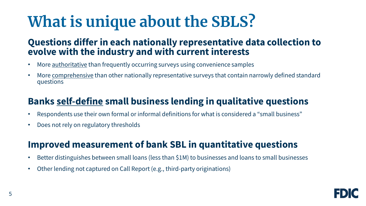# **What is unique about the SBLS?**

#### **Questions differ in each nationally representative data collection to evolve with the industry and with current interests**

- More authoritative than frequently occurring surveys using convenience samples
- More comprehensive than other nationally representative surveys that contain narrowly defined standard questions

#### **Banks self-define small business lending in qualitative questions**

- Respondents use their own formal or informal definitions for what is considered a "small business"
- Does not rely on regulatory thresholds

#### **Improved measurement of bank SBL in quantitative questions**

- Better distinguishes between small loans (less than \$1M) to businesses and loans to small businesses
- Other lending not captured on Call Report (e.g., third-party originations)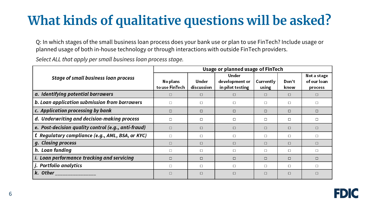# **What kinds of qualitative questions will be asked?**

Q: In which stages of the small business loan process does your bank use or plan to use FinTech? Include usage or planned usage of both in-house technology or through interactions with outside FinTech providers.

*Select ALL that apply per small business loan process stage.*

| <b>Stage of small business loan process</b>         | Usage or planned usage of FinTech |                     |                                             |                    |               |                                       |
|-----------------------------------------------------|-----------------------------------|---------------------|---------------------------------------------|--------------------|---------------|---------------------------------------|
|                                                     | No plans<br>to use FinTech        | Under<br>discussion | Under<br>development or<br>in pilot testing | Currently<br>using | Don't<br>know | Not a stage<br>of our loan<br>process |
| a. Identifying potential borrowers                  | $\Box$                            | □                   | П                                           | $\Box$             | $\Box$        | $\Box$                                |
| b. Loan application submission from borrowers       | $\Box$                            | П                   | п                                           | $\Box$             | П             | $\Box$                                |
| c. Application processing by bank                   | $\Box$                            | $\Box$              | $\Box$                                      | $\Box$             | $\Box$        | $\Box$                                |
| d. Underwriting and decision-making process         | $\Box$                            | □                   | □                                           | $\Box$             | $\Box$        | □                                     |
| e. Post-decision quality control (e.g., anti-fraud) | $\Box$                            | □                   | $\Box$                                      | $\Box$             | $\Box$        | $\Box$                                |
| f. Regulatory compliance (e.g., AML, BSA, or KYC)   | $\Box$                            | □                   | □                                           | $\Box$             | $\Box$        | □                                     |
| g. Closing process                                  | $\Box$                            | □                   | п                                           | $\Box$             | $\Box$        | $\Box$                                |
| h. Loan funding                                     | $\Box$                            | П                   | □                                           | $\Box$             | $\Box$        | $\Box$                                |
| i. Loan performance tracking and servicing          | $\Box$                            | □                   | □                                           | $\Box$             | $\Box$        | $\Box$                                |
| j. Portfolio analytics                              | $\Box$                            | □                   | □                                           | $\Box$             | П             | $\Box$                                |
| k. Other                                            | $\Box$                            | □                   | □                                           | $\Box$             | □             | $\Box$                                |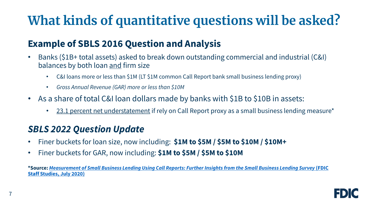# **What kinds of quantitative questions will be asked?**

#### **Example of SBLS 2016 Question and Analysis**

- Banks (\$1B+ total assets) asked to break down outstanding commercial and industrial (C&I) balances by both loan and firm size
	- C&I loans more or less than \$1M (LT \$1M common Call Report bank small business lending proxy)
	- *Gross Annual Revenue (GAR) more or less than \$10M*
- As a share of total C&I loan dollars made by banks with \$1B to \$10B in assets:
	- 23.1 percent net understatement if rely on Call Report proxy as a small business lending measure\*

#### *SBLS 2022 Question Update*

- Finer buckets for loan size, now including: **\$1M to \$5M / \$5M to \$10M / \$10M+**
- Finer buckets for GAR, now including: **\$1M to \$5M / \$5M to \$10M**

**\*Source:** *[Measurement of Small Business Lending Using Call Reports: Further Insights from the Small Business Lending Survey](https://www.fdic.gov/analysis/cfr/staff-studies/2020-04.pdf)* **(FDIC Staff Studies, July 2020)**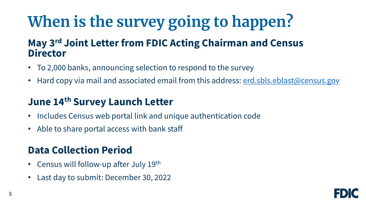# **When is the survey going to happen?**

### **May 3rd Joint Letter from FDIC Acting Chairman and Census Director**

- To 2,000 banks, announcing selection to respond to the survey
- Hard copy via mail and associated email from this address: <u>erd.sbls.eblast@census.gov</u>

## **June 14th Survey Launch Letter**

- Includes Census web portal link and unique authentication code
- Able to share portal access with bank staff

## **Data Collection Period**

- Census will follow-up after July 19<sup>th</sup>
- Last day to submit: December 30, 2022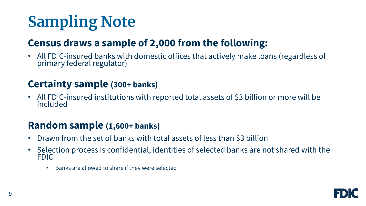# **Sampling Note**

## **Census draws a sample of 2,000 from the following:**

• All FDIC-insured banks with domestic offices that actively make loans (regardless of primary federal regulator)

#### **Certainty sample (300+ banks)**

• All FDIC-insured institutions with reported total assets of \$3 billion or more will be **included** 

### **Random sample (1,600+ banks)**

- Drawn from the set of banks with total assets of less than \$3 billion
- Selection process is confidential; identities of selected banks are not shared with the FDIC
	- Banks are allowed to share if they were selected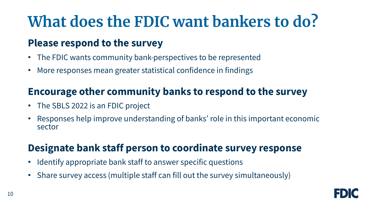# **What does the FDIC want bankers to do?**

### **Please respond to the survey**

- The FDIC wants community bank-perspectives to be represented
- More responses mean greater statistical confidence in findings

### **Encourage other community banks to respond to the survey**

- The SBLS 2022 is an FDIC project
- Responses help improve understanding of banks' role in this important economic sector

## **Designate bank staff person to coordinate survey response**

- Identify appropriate bank staff to answer specific questions
- Share survey access (multiple staff can fill out the survey simultaneously)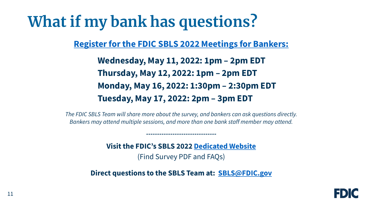# **What if my bank has questions?**

**[Register for the FDIC SBLS 2022 Meetings for Bankers:](https://web.cvent.com/event/06b27407-41ac-46e0-93ab-c85c7c9f5827/summary)**

**Wednesday, May 11, 2022: 1pm – 2pm EDT Thursday, May 12, 2022: 1pm – 2pm EDT Monday, May 16, 2022: 1:30pm – 2:30pm EDT Tuesday, May 17, 2022: 2pm – 3pm EDT**

*The FDIC SBLS Team will share more about the survey, and bankers can ask questions directly. Bankers may attend multiple sessions, and more than one bank staff member may attend.*

*--------------------------------*

**Visit the FDIC's SBLS 2022 [Dedicated Website](https://www.fdic.gov/resources/publications/small-business-lending-survey/index.html)** (Find Survey PDF and FAQs)

**Direct questions to the SBLS Team at: [SBLS@FDIC.gov](mailto:SBLS@FDIC.gov)**